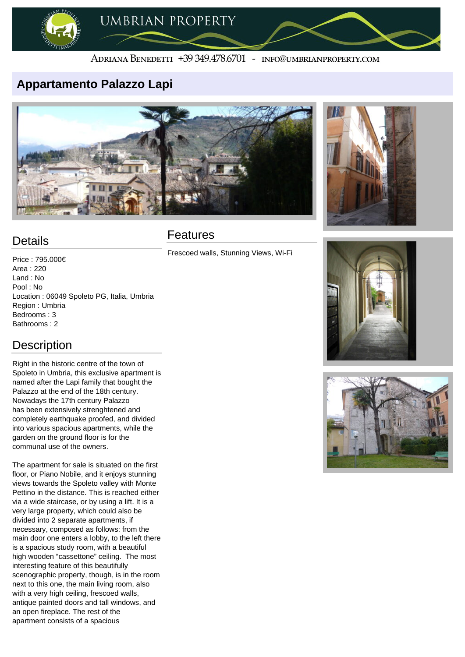

#### ADRIANA BENEDETTI +39 349.478.6701 - INFO@UMBRIANPROPERTY.COM

### **Appartamento Palazzo Lapi**





# **Details**

Price : 795.000€ Area : 220 Land : No Pool : No Location : 06049 Spoleto PG, Italia, Umbria Region : Umbria Bedrooms : 3 Bathrooms : 2

## **Description**

Right in the historic centre of the town of Spoleto in Umbria, this exclusive apartment is named after the Lapi family that bought the Palazzo at the end of the 18th century. Nowadays the 17th century Palazzo has been extensively strenghtened and completely earthquake proofed, and divided into various spacious apartments, while the garden on the ground floor is for the communal use of the owners.

The apartment for sale is situated on the first floor, or Piano Nobile, and it enjoys stunning views towards the Spoleto valley with Monte Pettino in the distance. This is reached either via a wide staircase, or by using a lift. It is a very large property, which could also be divided into 2 separate apartments, if necessary, composed as follows: from the main door one enters a lobby, to the left there is a spacious study room, with a beautiful high wooden "cassettone" ceiling. The most interesting feature of this beautifully scenographic property, though, is in the room next to this one, the main living room, also with a very high ceiling, frescoed walls, antique painted doors and tall windows, and an open fireplace. The rest of the apartment consists of a spacious

## Features

Frescoed walls, Stunning Views, Wi-Fi